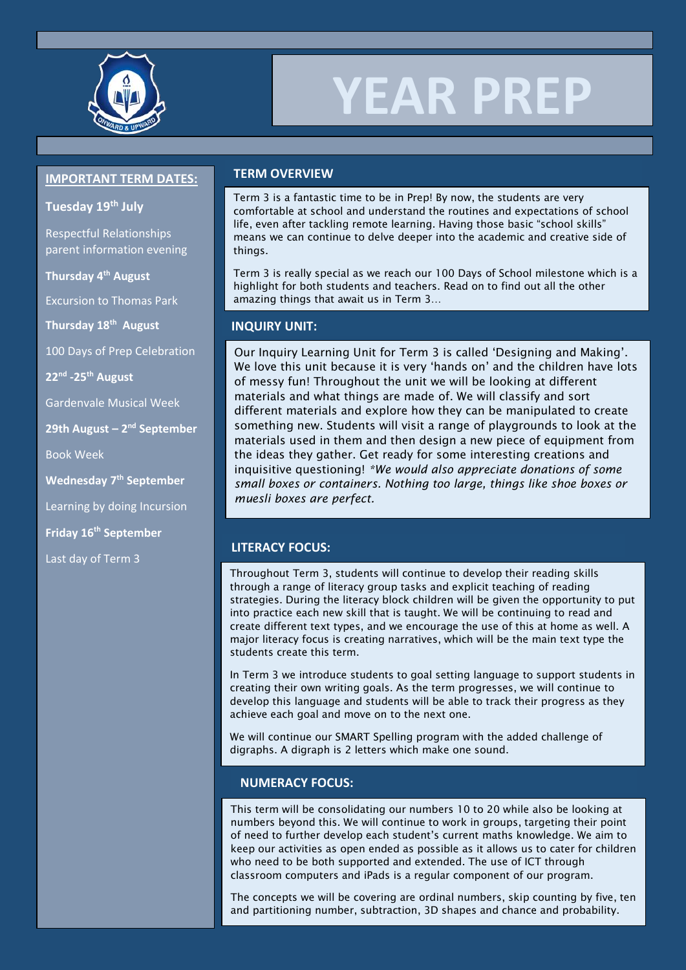

# **YEAR PREP**

# **IMPORTANT TERM DATES:**

#### **Tuesday 19th July**

Respectful Relationships parent information evening

#### **Thursday 4th August**

Excursion to Thomas Park

**Thursday 18th August**

100 Days of Prep Celebration

**22nd -25th August**

Gardenvale Musical Week

**29th August – 2 nd September**

Book Week

**Wednesday 7th September**

Learning by doing Incursion

**Friday 16th September**

Last day of Term 3

# **TERM OVERVIEW**

Term 3 is a fantastic time to be in Prep! By now, the students are very comfortable at school and understand the routines and expectations of school life, even after tackling remote learning. Having those basic "school skills" means we can continue to delve deeper into the academic and creative side of things.

Term 3 is really special as we reach our 100 Days of School milestone which is a highlight for both students and teachers. Read on to find out all the other amazing things that await us in Term 3…

# **INQUIRY UNIT:**

Our Inquiry Learning Unit for Term 3 is called 'Designing and Making'. We love this unit because it is very 'hands on' and the children have lots of messy fun! Throughout the unit we will be looking at different materials and what things are made of. We will classify and sort different materials and explore how they can be manipulated to create something new. Students will visit a range of playgrounds to look at the materials used in them and then design a new piece of equipment from the ideas they gather. Get ready for some interesting creations and inquisitive questioning! *\*We would also appreciate donations of some small boxes or containers. Nothing too large, things like shoe boxes or muesli boxes are perfect.*

# **LITERACY FOCUS:**

Throughout Term 3, students will continue to develop their reading skills through a range of literacy group tasks and explicit teaching of reading strategies. During the literacy block children will be given the opportunity to put into practice each new skill that is taught. We will be continuing to read and create different text types, and we encourage the use of this at home as well. A major literacy focus is creating narratives, which will be the main text type the students create this term.

In Term 3 we introduce students to goal setting language to support students in creating their own writing goals. As the term progresses, we will continue to develop this language and students will be able to track their progress as they achieve each goal and move on to the next one.

We will continue our SMART Spelling program with the added challenge of digraphs. A digraph is 2 letters which make one sound.

# **NUMERACY FOCUS:**

This term will be consolidating our numbers 10 to 20 while also be looking at numbers beyond this. We will continue to work in groups, targeting their point of need to further develop each student's current maths knowledge. We aim to keep our activities as open ended as possible as it allows us to cater for children who need to be both supported and extended. The use of ICT through classroom computers and iPads is a regular component of our program.

The concepts we will be covering are ordinal numbers, skip counting by five, ten and partitioning number, subtraction, 3D shapes and chance and probability.